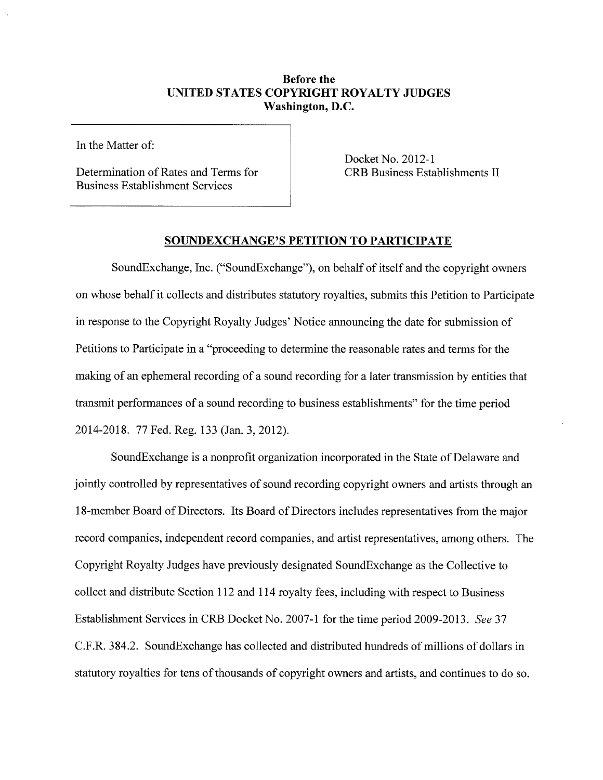## Before the UNITED STATES COPYRIGHT ROYALTY JUDGES Washington, D.C.

In the Matter of:

Determination of Rates and Terms for Business Establishment Services

Docket No. 2012-1 CRB Business Establishments II

## SOUNDEXCHANGE'S PETITION TO PARTICIPATE

SoundExchange, Inc. ("SoundExchange"), on behalf of itself and the copyright owners on whose behalf it collects and distributes statutory royalties, submits this Petition to Paricipate in response to the Copyright Royalty Judges' Notice announcing the date for submission of Petitions to Participate in a "proceeding to determine the reasonable rates and terms for the making of an ephemeral recording of a sound recording for a later transmission by entities that transmit performances of a sound recording to business establishments" for the time period 2014-2018. 77 Fed. Reg. 133 (Jan. 3,2012).

SoundExchange is a nonprofit organization incorporated in the State of Delaware and jointly controlled by representatives of sound recording copyright owners and artists through an 18-member Board of Directors. Its Board of Directors includes representatives from the major record companies, independent record companies, and artist representatives, among others. The Copyright Royalty Judges have previously designated SoundExchange as the Collective to collect and distribute Section 112 and 114 royalty fees, including with respect to Business Establishment Services in CRB Docket No. 2007-1 for the time period 2009-2013. See 37 C.F.R. 384.2. SoundExchange has collected and distributed hundreds of milions of dollars in statutory royalties for tens of thousands of copyright owners and artists, and continues to do so.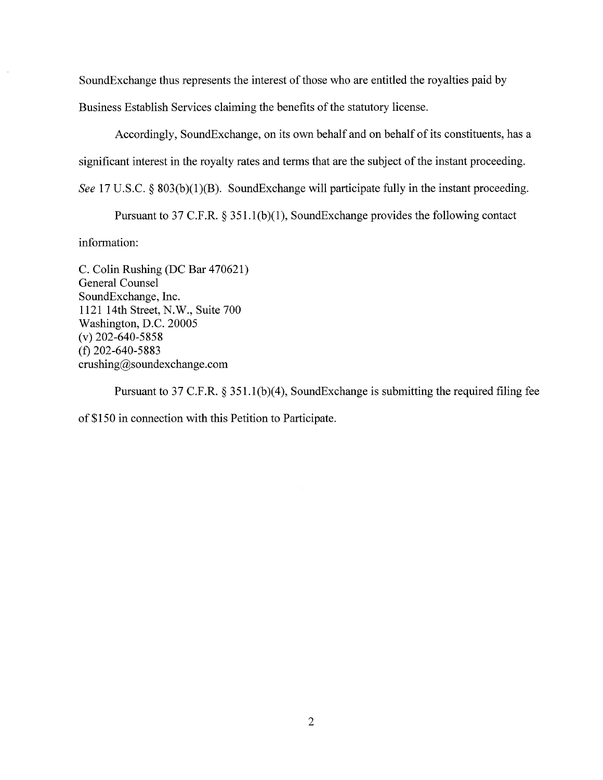SoundExchange thus represents the interest of those who are entitled the royalties paid by

Business Establish Services claiming the benefits of the statutory license.

Accordingly, SoundExchange, on its own behalf and on behalf of its constituents, has a significant interest in the royalty rates and terms that are the subject of the instant proceeding. See 17 U.S.C. § 803(b)(1)(B). SoundExchange will participate fully in the instant proceeding.

Pursuant to 37 C.F.R. § 351.1(b)(1), SoundExchange provides the following contact

information:

C. Colin Rushing (DC Bar 470621) General Counsel SoundExchange, Inc. 1121 14th Street, N.W., Suite 700 Washington, D.C. 20005 (v) 202-640-5858 (t) 202-640-5883 crushing@soundexchange.com

Pursuant to 37 C.F.R. § 351.1(b)(4), SoundExchange is submitting the required filing fee of \$150 in connection with this Petition to Participate.